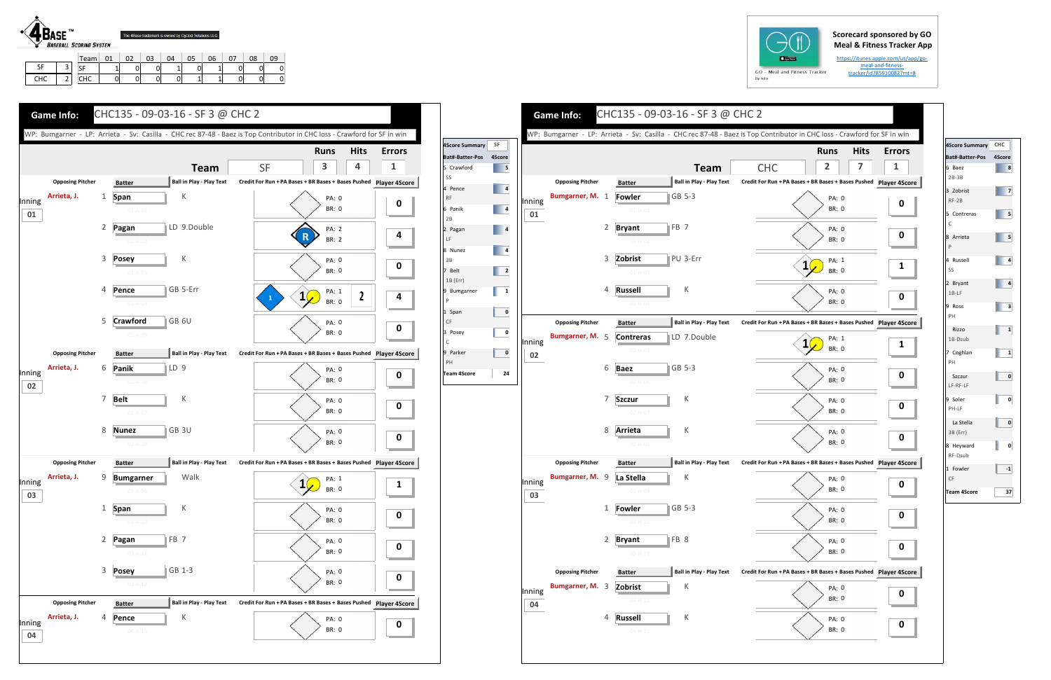## **Scorecard sponsored by GO Meal & Fitness Tracker App**

https://itunes.apple.com/us/app/go‐ meal‐and‐fitness‐ tracker/id785910082?mt=8



SFF | 3 CHC

2

SF | 1 | 0 | 0 | 1 | 0 | 1 | 0 | 0 | 0 CHC | 0 | 0 | 0 | 0 | 1 | 1 | 0 | 0 | 0

| $GO -$ |  |  |   |
|--------|--|--|---|
|        |  |  |   |
|        |  |  | N |



|              |                         |                |                                |                                 | WP: Bumgarner - LP: Arrieta - Sv: Casilla - CHC rec 87-48 - Baez is Top Contributor in CHC loss - Crawford for SF in w |
|--------------|-------------------------|----------------|--------------------------------|---------------------------------|------------------------------------------------------------------------------------------------------------------------|
|              |                         |                |                                |                                 | <b>Hits</b><br><b>Runs</b>                                                                                             |
|              |                         |                |                                | <b>Team</b>                     | 2<br>7<br><b>CHC</b>                                                                                                   |
|              | <b>Opposing Pitcher</b> |                | <b>Batter</b>                  | <b>Ball in Play - Play Text</b> | Credit For Run + PA Bases + BR Bases + Bases Pushed Player 4S                                                          |
| Inning<br>01 | Bumgarner, M.           | 1              | <b>Fowler</b><br>$01 - H - 01$ | $ GB 5-3$                       | PA: 0<br>BR: 0                                                                                                         |
|              |                         | $\overline{2}$ | <b>Bryant</b>                  | $\parallel$ FB 7                | PA: 0<br>BR: 0                                                                                                         |
|              |                         | 3              | $01-H-02$<br>Zobrist           | PU 3-Err                        | PA: 1<br>1                                                                                                             |
|              |                         |                | $01-H-03$                      |                                 | <b>BR: 0</b>                                                                                                           |
|              |                         | 4              | <b>Russell</b><br>$01-H-04$    | К                               | PA: 0<br><b>BR: 0</b>                                                                                                  |
|              | <b>Opposing Pitcher</b> |                | <b>Batter</b>                  | <b>Ball in Play - Play Text</b> | Credit For Run + PA Bases + BR Bases + Bases Pushed Player 4S                                                          |
| Inning<br>02 | Bumgarner, M. 5         |                | <b>Contreras</b><br>$02-H-05$  | LD 7.Double                     | PA: 1<br>BR: 0                                                                                                         |
|              |                         | 6              | <b>Baez</b><br>$02 - H - 06$   | $\parallel$ GB 5-3              | PA: 0<br>BR: 0                                                                                                         |
|              |                         | 7              | <b>Szczur</b><br>$02-H-07$     | К                               | PA: 0<br>BR: 0                                                                                                         |
|              |                         | 8              | Arrieta<br>$02-H-08$           | К                               | PA: 0<br><b>BR: 0</b>                                                                                                  |
|              | <b>Opposing Pitcher</b> |                | <b>Batter</b>                  | <b>Ball in Play - Play Text</b> | Credit For Run + PA Bases + BR Bases + Bases Pushed Player 4S                                                          |
| Inning<br>03 | Bumgarner, M.           | 9              | La Stella<br>03-H-09           | К                               | PA: 0<br>BR: 0                                                                                                         |
|              |                         | $\mathbf{1}$   | <b>Fowler</b><br>$03 - H - 10$ | GB 5-3                          | PA: 0<br><b>BR: 0</b>                                                                                                  |
|              |                         | $\overline{2}$ | <b>Bryant</b><br>$03 - H - 11$ | FB 8                            | PA: 0<br><b>BR: 0</b>                                                                                                  |
|              | <b>Opposing Pitcher</b> |                | <b>Batter</b>                  | <b>Ball in Play - Play Text</b> | Credit For Run + PA Bases + BR Bases + Bases Pushed Player 4S                                                          |
| Inning<br>04 | Bumgarner, M.           | 3              | Zobrist<br>$04 - H - 12$       | К                               | PA: 0<br>BR: 0                                                                                                         |
|              |                         | 4              | <b>Russell</b>                 | К                               | PA: 0                                                                                                                  |





| 4Score Summary CHC          |              |
|-----------------------------|--------------|
| Bat#-Batter-Pos             | 4Score       |
| 6 Baez<br>$2B-3B$           | 8            |
| 3 Zobrist<br>$RF-2B$        | 7            |
| 5 Contreras<br>$\mathsf{C}$ | 5            |
| 8 Arrieta<br>P              | 5            |
| 4 Russell<br>SS             | 4            |
| 2 Bryant<br>$1B-LF$         | 4            |
| 9 Ross<br>PH                | 3            |
| Rizzo<br>1B-Dsub            | $\mathbf{1}$ |
| 7 Coghlan<br>PH             | 1            |
| Szczur<br>LF-RF-LF          | 0            |
| 9 Soler<br>PH-LF            | 0            |
| La Stella<br>3B (Err)       | 0            |
| 8 Heyward<br>RF-Dsub        | 0            |
| 1 Fowler<br>CF              | $-1$         |
| Team 4Score                 | 37           |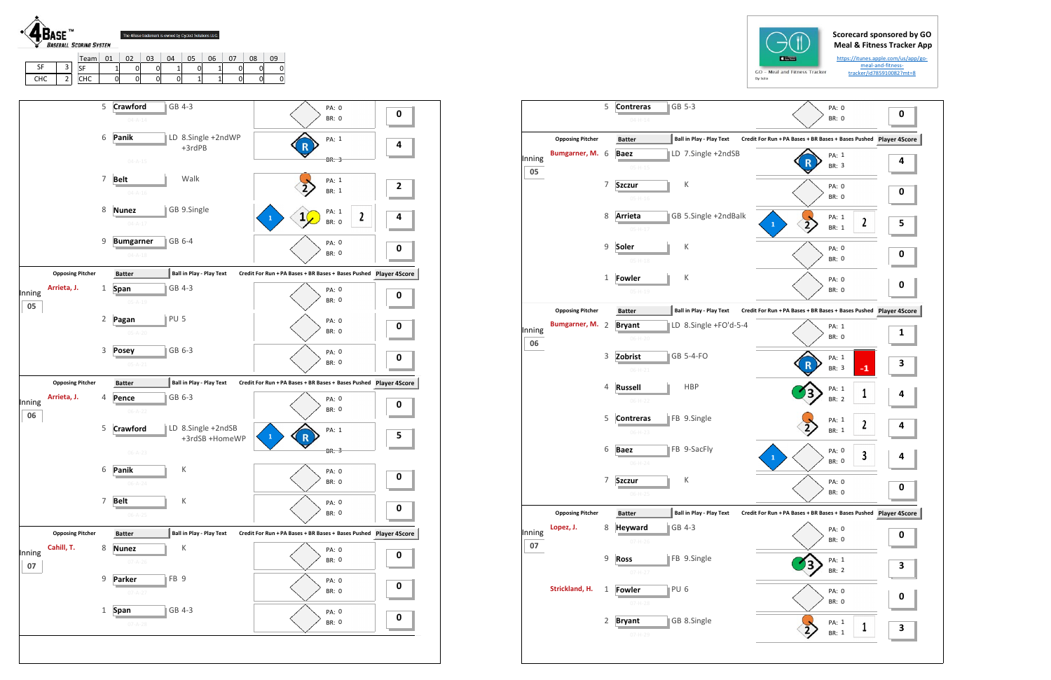## **Scorecard sponsored by GO Meal & Fitness Tracker App**

https://itunes.apple.com/us/app/go‐ meal‐and‐fitness‐ tracker/id785910082?mt=8